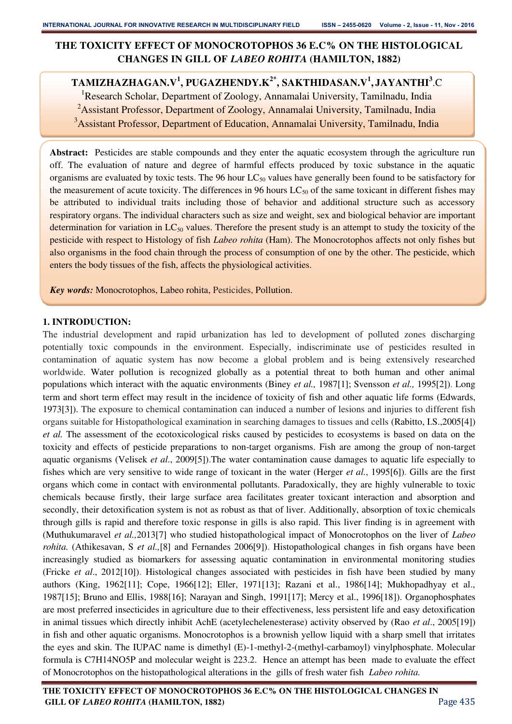# **THE TOXICITY EFFECT OF MONOCROTOPHOS 36 E.C% ON THE HISTOLOGICAL CHANGES IN GILL OF** *LABEO ROHITA* **(HAMILTON, 1882)**

**TAMIZHAZHAGAN.V<sup>1</sup> , PUGAZHENDY.K2\*, SAKTHIDASAN.V<sup>1</sup> , JAYANTHI<sup>3</sup>** .C <sup>1</sup>Research Scholar, Department of Zoology, Annamalai University, Tamilnadu, India <sup>2</sup>Assistant Professor, Department of Zoology, Annamalai University, Tamilnadu, India <sup>3</sup>Assistant Professor, Department of Education, Annamalai University, Tamilnadu, India

**Abstract:** Pesticides are stable compounds and they enter the aquatic ecosystem through the agriculture run off. The evaluation of nature and degree of harmful effects produced by toxic substance in the aquatic organisms are evaluated by toxic tests. The 96 hour  $LC_{50}$  values have generally been found to be satisfactory for the measurement of acute toxicity. The differences in 96 hours  $LC_{50}$  of the same toxicant in different fishes may be attributed to individual traits including those of behavior and additional structure such as accessory respiratory organs. The individual characters such as size and weight, sex and biological behavior are important determination for variation in  $LC_{50}$  values. Therefore the present study is an attempt to study the toxicity of the pesticide with respect to Histology of fish *Labeo rohita* (Ham). The Monocrotophos affects not only fishes but also organisms in the food chain through the process of consumption of one by the other. The pesticide, which enters the body tissues of the fish, affects the physiological activities.

*Key words:* Monocrotophos, Labeo rohita, Pesticides, Pollution.

## **1. INTRODUCTION:**

The industrial development and rapid urbanization has led to development of polluted zones discharging potentially toxic compounds in the environment. Especially, indiscriminate use of pesticides resulted in contamination of aquatic system has now become a global problem and is being extensively researched worldwide. Water pollution is recognized globally as a potential threat to both human and other animal populations which interact with the aquatic environments (Biney *et al.,* 1987[1]; Svensson *et al.,* 1995[2]). Long term and short term effect may result in the incidence of toxicity of fish and other aquatic life forms (Edwards, 1973[3]). The exposure to chemical contamination can induced a number of lesions and injuries to different fish organs suitable for Histopathological examination in searching damages to tissues and cells (Rabitto, I.S.,2005[4]) *et al.* The assessment of the ecotoxicological risks caused by pesticides to ecosystems is based on data on the toxicity and effects of pesticide preparations to non-target organisms. Fish are among the group of non-target aquatic organisms (Velisek *et al*., 2009[5]).The water contamination cause damages to aquatic life especially to fishes which are very sensitive to wide range of toxicant in the water (Herger *et al.*, 1995[6]). Gills are the first organs which come in contact with environmental pollutants. Paradoxically, they are highly vulnerable to toxic chemicals because firstly, their large surface area facilitates greater toxicant interaction and absorption and secondly, their detoxification system is not as robust as that of liver. Additionally, absorption of toxic chemicals through gills is rapid and therefore toxic response in gills is also rapid. This liver finding is in agreement with (Muthukumaravel *et al.,*2013[7] who studied histopathological impact of Monocrotophos on the liver of *Labeo rohita.* (Athikesavan, S *et al.,*[8] and Fernandes 2006[9]). Histopathological changes in fish organs have been increasingly studied as biomarkers for assessing aquatic contamination in environmental monitoring studies (Fricke *et al*., 2012[10]). Histological changes associated with pesticides in fish have been studied by many authors (King, 1962[11]; Cope, 1966[12]; Eller, 1971[13]; Razani et al., 1986[14]; Mukhopadhyay et al., 1987[15]; Bruno and Ellis, 1988[16]; Narayan and Singh, 1991[17]; Mercy et al., 1996[18]). Organophosphates are most preferred insecticides in agriculture due to their effectiveness, less persistent life and easy detoxification in animal tissues which directly inhibit AchE (acetylechelenesterase) activity observed by (Rao *et al*., 2005[19]) in fish and other aquatic organisms. Monocrotophos is a brownish yellow liquid with a sharp smell that irritates the eyes and skin. The IUPAC name is dimethyl (E)-1-methyl-2-(methyl-carbamoyl) vinylphosphate. Molecular formula is C7H14NO5P and molecular weight is 223.2. Hence an attempt has been made to evaluate the effect of Monocrotophos on the histopathological alterations in the gills of fresh water fish *Labeo rohita.*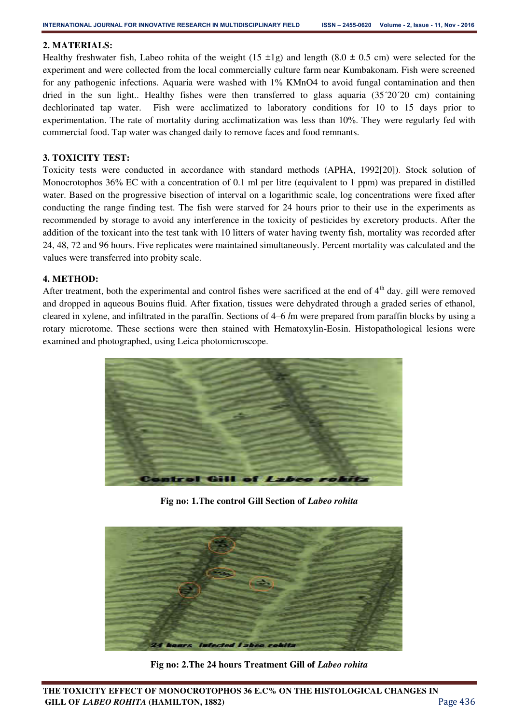## **2. MATERIALS:**

Healthy freshwater fish, Labeo rohita of the weight (15  $\pm$ 1g) and length (8.0  $\pm$  0.5 cm) were selected for the experiment and were collected from the local commercially culture farm near Kumbakonam. Fish were screened for any pathogenic infections. Aquaria were washed with 1% KMnO4 to avoid fungal contamination and then dried in the sun light.. Healthy fishes were then transferred to glass aquaria (35´20´20 cm) containing dechlorinated tap water. Fish were acclimatized to laboratory conditions for 10 to 15 days prior to experimentation. The rate of mortality during acclimatization was less than 10%. They were regularly fed with commercial food. Tap water was changed daily to remove faces and food remnants.

## **3. TOXICITY TEST:**

Toxicity tests were conducted in accordance with standard methods (APHA, 1992[20]). Stock solution of Monocrotophos 36% EC with a concentration of 0.1 ml per litre (equivalent to 1 ppm) was prepared in distilled water. Based on the progressive bisection of interval on a logarithmic scale, log concentrations were fixed after conducting the range finding test. The fish were starved for 24 hours prior to their use in the experiments as recommended by storage to avoid any interference in the toxicity of pesticides by excretory products. After the addition of the toxicant into the test tank with 10 litters of water having twenty fish, mortality was recorded after 24, 48, 72 and 96 hours. Five replicates were maintained simultaneously. Percent mortality was calculated and the values were transferred into probity scale.

## **4. METHOD:**

After treatment, both the experimental and control fishes were sacrificed at the end of  $4<sup>th</sup>$  day. gill were removed and dropped in aqueous Bouins fluid. After fixation, tissues were dehydrated through a graded series of ethanol, cleared in xylene, and infiltrated in the paraffin. Sections of 4–6 *l*m were prepared from paraffin blocks by using a rotary microtome. These sections were then stained with Hematoxylin-Eosin. Histopathological lesions were examined and photographed, using Leica photomicroscope.



**Fig no: 1.The control Gill Section of** *Labeo rohita*



**Fig no: 2.The 24 hours Treatment Gill of** *Labeo rohita*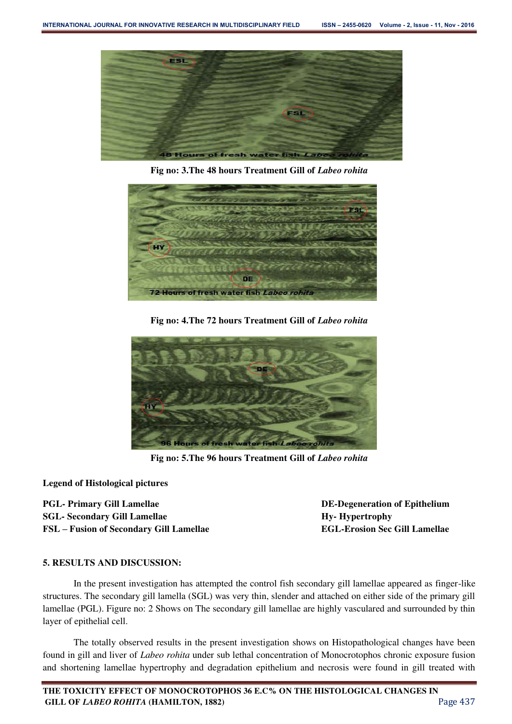

**Fig no: 3.The 48 hours Treatment Gill of** *Labeo rohita*



**Fig no: 4.The 72 hours Treatment Gill of** *Labeo rohita* 



**Fig no: 5.The 96 hours Treatment Gill of** *Labeo rohita* 

**Legend of Histological pictures** 

PGL- Primary Gill Lamellae DE-Degeneration of Epithelium **SGL- Secondary Gill Lamellae** *Hy***- Hypertrophy** *Hy-* **Hypertrophy FSL – Fusion of Secondary Gill Lamellae EGL-Erosion Sec Gill Lamellae** 

## **5. RESULTS AND DISCUSSION:**

In the present investigation has attempted the control fish secondary gill lamellae appeared as finger-like structures. The secondary gill lamella (SGL) was very thin, slender and attached on either side of the primary gill lamellae (PGL). Figure no: 2 Shows on The secondary gill lamellae are highly vasculared and surrounded by thin layer of epithelial cell.

 The totally observed results in the present investigation shows on Histopathological changes have been found in gill and liver of *Labeo rohita* under sub lethal concentration of Monocrotophos chronic exposure fusion and shortening lamellae hypertrophy and degradation epithelium and necrosis were found in gill treated with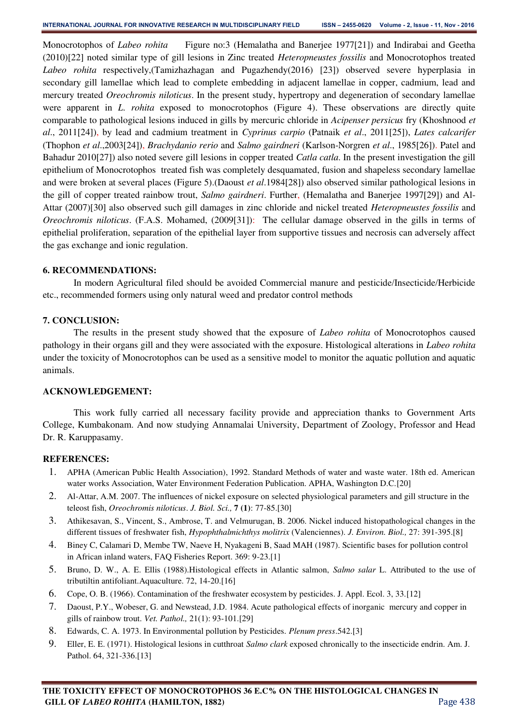Monocrotophos of *Labeo rohita* Figure no:3 (Hemalatha and Banerjee 1977[21]) and Indirabai and Geetha (2010)[22] noted similar type of gill lesions in Zinc treated *Heteropneustes fossilis* and Monocrotophos treated *Labeo rohita* respectively,(Tamizhazhagan and Pugazhendy(2016) [23]) observed severe hyperplasia in secondary gill lamellae which lead to complete embedding in adjacent lamellae in copper, cadmium, lead and mercury treated *Oreochromis niloticus*. In the present study, hypertropy and degeneration of secondary lamellae were apparent in *L. rohita* exposed to monocrotophos (Figure 4). These observations are directly quite comparable to pathological lesions induced in gills by mercuric chloride in *Acipenser persicus* fry (Khoshnood *et al*., 2011[24]), by lead and cadmium treatment in *Cyprinus carpio* (Patnaik *et al*., 2011[25]), *Lates calcarifer*  (Thophon *et al*.,2003[24]), *Brachydanio rerio* and *Salmo gairdneri* (Karlson-Norgren *et al*., 1985[26]). Patel and Bahadur 2010[27]) also noted severe gill lesions in copper treated *Catla catla*. In the present investigation the gill epithelium of Monocrotophos treated fish was completely desquamated, fusion and shapeless secondary lamellae and were broken at several places (Figure 5).(Daoust *et al*.1984[28]) also observed similar pathological lesions in the gill of copper treated rainbow trout, *Salmo gairdneri*. Further, (Hemalatha and Banerjee 1997[29]) and Al-Attar (2007)[30] also observed such gill damages in zinc chloride and nickel treated *Heteropneustes fossilis* and *Oreochromis niloticus*. (F.A.S. Mohamed, (2009[31]): The cellular damage observed in the gills in terms of epithelial proliferation, separation of the epithelial layer from supportive tissues and necrosis can adversely affect the gas exchange and ionic regulation.

#### **6. RECOMMENDATIONS:**

In modern Agricultural filed should be avoided Commercial manure and pesticide/Insecticide/Herbicide etc., recommended formers using only natural weed and predator control methods

#### **7. CONCLUSION:**

The results in the present study showed that the exposure of *Labeo rohita* of Monocrotophos caused pathology in their organs gill and they were associated with the exposure. Histological alterations in *Labeo rohita* under the toxicity of Monocrotophos can be used as a sensitive model to monitor the aquatic pollution and aquatic animals.

## **ACKNOWLEDGEMENT:**

 This work fully carried all necessary facility provide and appreciation thanks to Government Arts College, Kumbakonam. And now studying Annamalai University, Department of Zoology, Professor and Head Dr. R. Karuppasamy.

## **REFERENCES:**

- 1. APHA (American Public Health Association), 1992. Standard Methods of water and waste water. 18th ed. American water works Association, Water Environment Federation Publication. APHA, Washington D.C.[20]
- 2. Al-Attar, A.M. 2007. The influences of nickel exposure on selected physiological parameters and gill structure in the teleost fish, *Oreochromis niloticus*. *J. Biol. Sci.,* **7 (1)**: 77-85.[30]
- 3. Athikesavan, S., Vincent, S., Ambrose, T. and Velmurugan, B. 2006. Nickel induced histopathological changes in the different tissues of freshwater fish, *Hypophthalmichthys molitrix* (Valenciennes). *J. Environ. Biol.,* 27: 391-395.[8]
- 4. Biney C, Calamari D, Membe TW, Naeve H, Nyakageni B, Saad MAH (1987). Scientific bases for pollution control in African inland waters, FAQ Fisheries Report. 369: 9-23.[1]
- 5. Bruno, D. W., A. E. Ellis (1988).Histological effects in Atlantic salmon, *Salmo salar* L. Attributed to the use of tributiltin antifoliant.Aquaculture. 72, 14-20.[16]
- 6. Cope, O. B. (1966). Contamination of the freshwater ecosystem by pesticides. J. Appl. Ecol. 3, 33.[12]
- 7. Daoust, P.Y., Wobeser, G. and Newstead, J.D. 1984. Acute pathological effects of inorganic mercury and copper in gills of rainbow trout. *Vet. Pathol.,* 21(1): 93-101.[29]
- 8. Edwards, C. A. 1973. In Environmental pollution by Pesticides. *Plenum press*.542.[3]
- 9. Eller, E. E. (1971). Histological lesions in cutthroat *Salmo clark* exposed chronically to the insecticide endrin. Am. J. Pathol. 64, 321-336.[13]